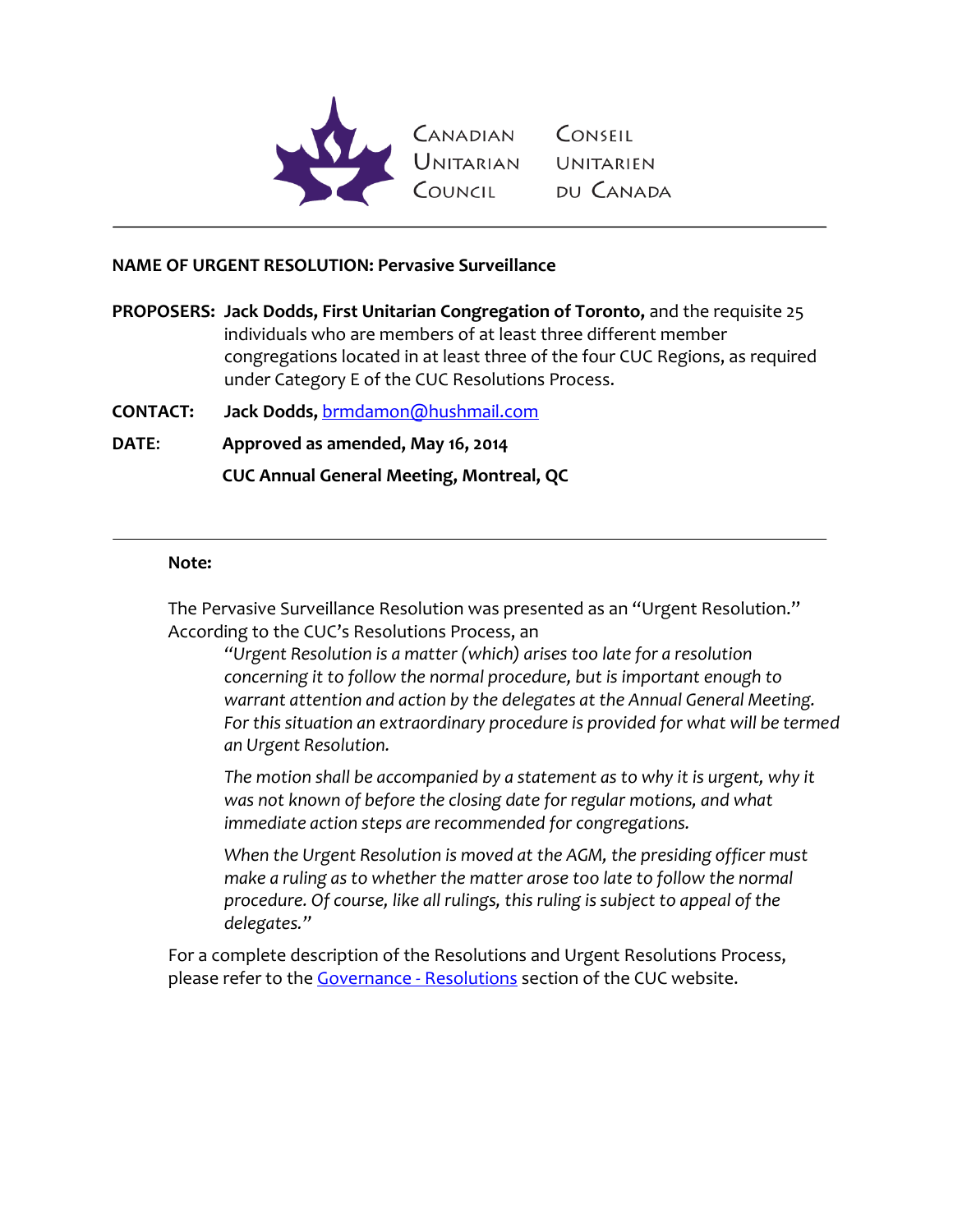

Canadian Conseil<br>Unitarian Unitarien<br>Council du-Canada

### **NAME OF URGENT RESOLUTION: Pervasive Surveillance**

**PROPOSERS: Jack Dodds, First Unitarian Congregation of Toronto,** and the requisite 25 individuals who are members of at least three different member congregations located in at least three of the four CUC Regions, as required under Category E of the CUC Resolutions Process.

**CONTACT: Jack Dodds,** [brmdamon@hushmail.com](mailto:brmdamon@hushmail.com)

**DATE**: **Approved as amended, May 16, 2014**

**CUC Annual General Meeting, Montreal, QC**

#### **Note:**

The Pervasive Surveillance Resolution was presented as an "Urgent Resolution." According to the CUC's Resolutions Process, an

*"Urgent Resolution is a matter (which) arises too late for a resolution concerning it to follow the normal procedure, but is important enough to warrant attention and action by the delegates at the Annual General Meeting. For this situation an extraordinary procedure is provided for what will be termed an Urgent Resolution.*

The motion shall be accompanied by a statement as to why it is urgent, why it *was not known of before the closing date for regular motions, and what immediate action steps are recommended for congregations.* 

*When the Urgent Resolution is moved at the AGM, the presiding officer must make a ruling as to whether the matter arose too late to follow the normal procedure. Of course, like all rulings, this ruling is subject to appeal of the delegates."*

For a complete description of the Resolutions and Urgent Resolutions Process, please refer to the **Governance - Resolutions** section of the CUC website.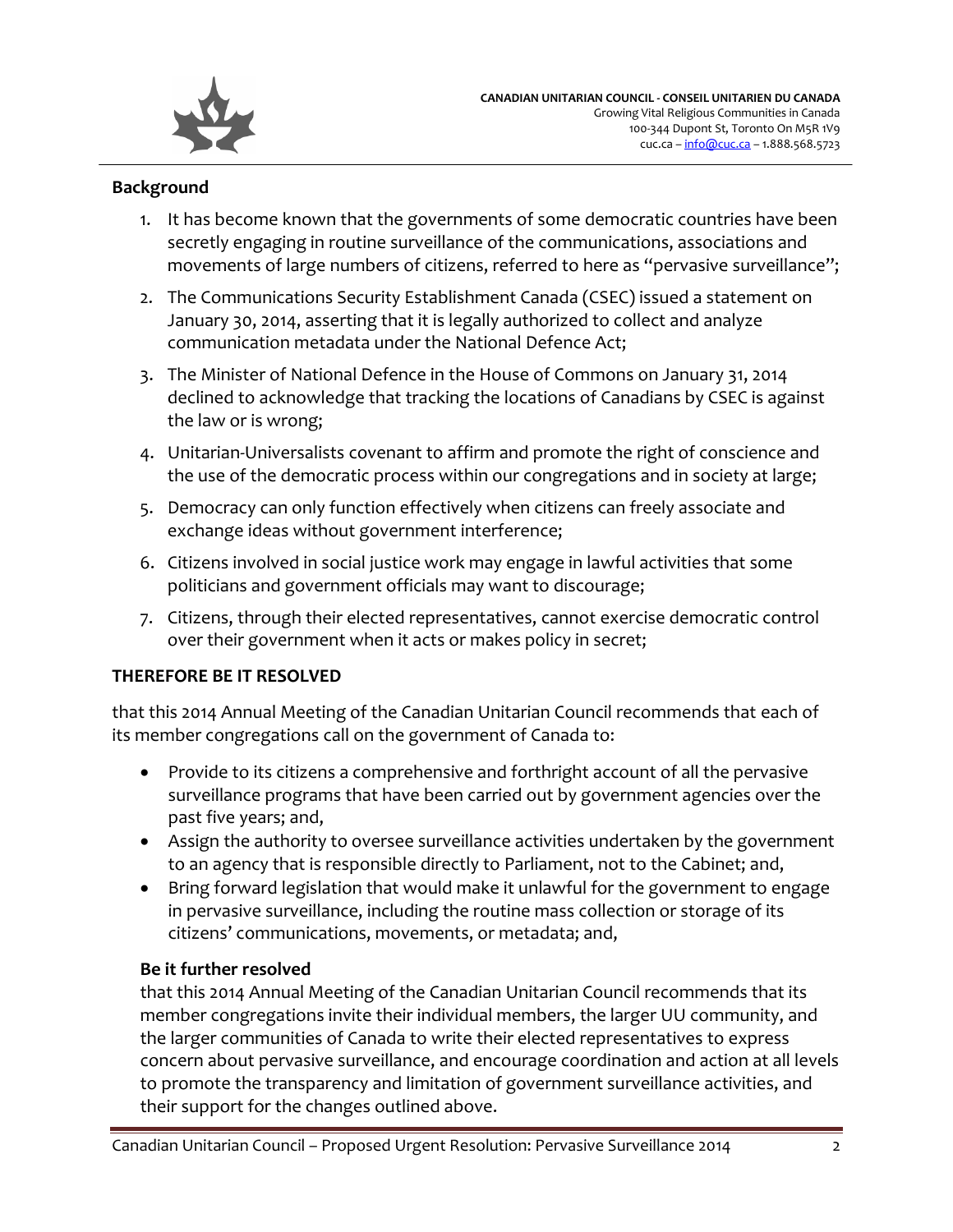

### **Background**

- 1. It has become known that the governments of some democratic countries have been secretly engaging in routine surveillance of the communications, associations and movements of large numbers of citizens, referred to here as "pervasive surveillance";
- 2. The Communications Security Establishment Canada (CSEC) issued a statement on January 30, 2014, asserting that it is legally authorized to collect and analyze communication metadata under the National Defence Act;
- 3. The Minister of National Defence in the House of Commons on January 31, 2014 declined to acknowledge that tracking the locations of Canadians by CSEC is against the law or is wrong;
- 4. Unitarian-Universalists covenant to affirm and promote the right of conscience and the use of the democratic process within our congregations and in society at large;
- 5. Democracy can only function effectively when citizens can freely associate and exchange ideas without government interference;
- 6. Citizens involved in social justice work may engage in lawful activities that some politicians and government officials may want to discourage;
- 7. Citizens, through their elected representatives, cannot exercise democratic control over their government when it acts or makes policy in secret;

### **THEREFORE BE IT RESOLVED**

that this 2014 Annual Meeting of the Canadian Unitarian Council recommends that each of its member congregations call on the government of Canada to:

- Provide to its citizens a comprehensive and forthright account of all the pervasive surveillance programs that have been carried out by government agencies over the past five years; and,
- Assign the authority to oversee surveillance activities undertaken by the government to an agency that is responsible directly to Parliament, not to the Cabinet; and,
- Bring forward legislation that would make it unlawful for the government to engage in pervasive surveillance, including the routine mass collection or storage of its citizens' communications, movements, or metadata; and,

# **Be it further resolved**

that this 2014 Annual Meeting of the Canadian Unitarian Council recommends that its member congregations invite their individual members, the larger UU community, and the larger communities of Canada to write their elected representatives to express concern about pervasive surveillance, and encourage coordination and action at all levels to promote the transparency and limitation of government surveillance activities, and their support for the changes outlined above.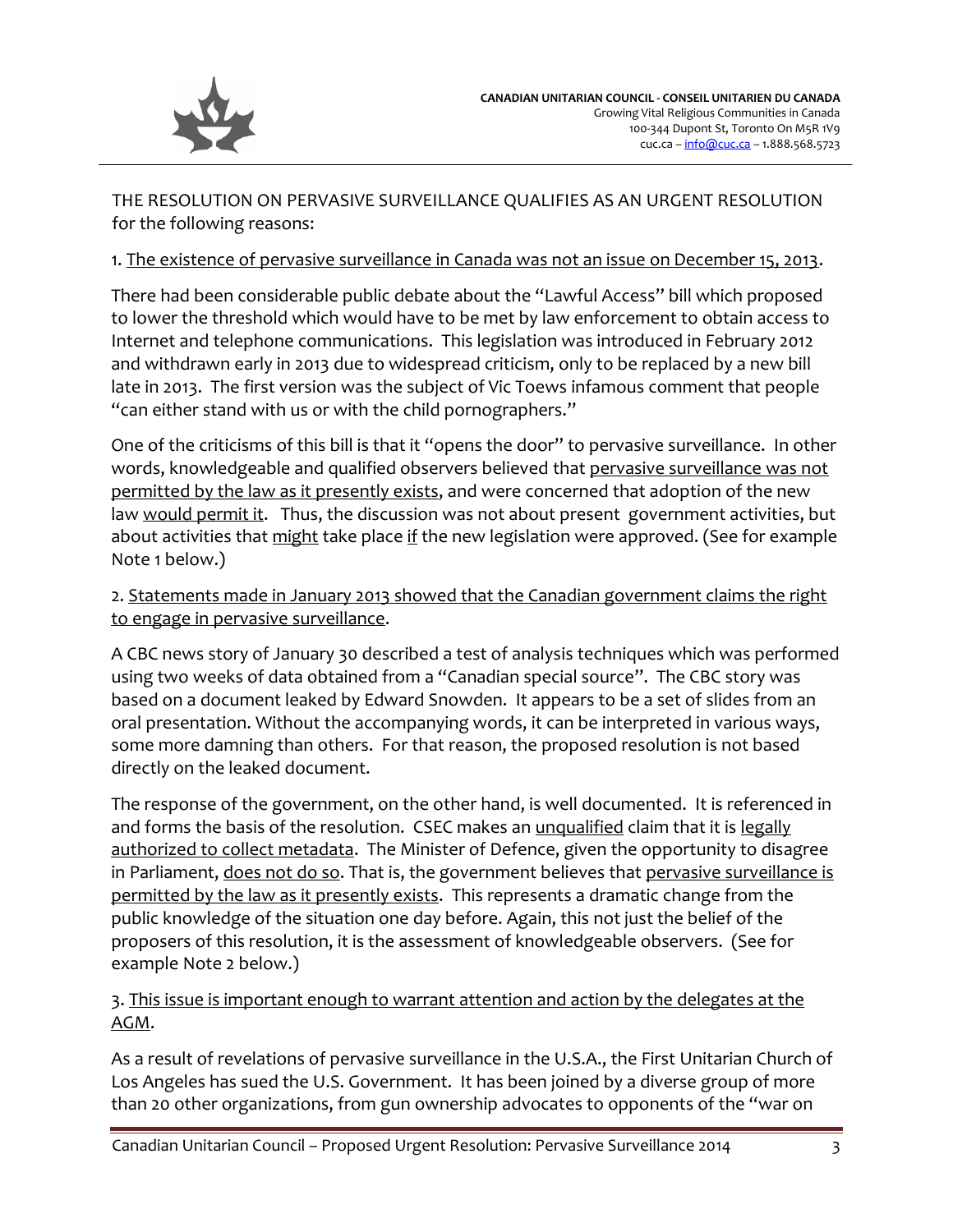

THE RESOLUTION ON PERVASIVE SURVEILLANCE QUALIFIES AS AN URGENT RESOLUTION for the following reasons:

### 1. The existence of pervasive surveillance in Canada was not an issue on December 15, 2013.

There had been considerable public debate about the "Lawful Access" bill which proposed to lower the threshold which would have to be met by law enforcement to obtain access to Internet and telephone communications. This legislation was introduced in February 2012 and withdrawn early in 2013 due to widespread criticism, only to be replaced by a new bill late in 2013. The first version was the subject of Vic Toews infamous comment that people "can either stand with us or with the child pornographers."

One of the criticisms of this bill is that it "opens the door" to pervasive surveillance. In other words, knowledgeable and qualified observers believed that pervasive surveillance was not permitted by the law as it presently exists, and were concerned that adoption of the new law would permit it. Thus, the discussion was not about present government activities, but about activities that might take place if the new legislation were approved. (See for example Note 1 below.)

# 2. Statements made in January 2013 showed that the Canadian government claims the right to engage in pervasive surveillance.

A CBC news story of January 30 described a test of analysis techniques which was performed using two weeks of data obtained from a "Canadian special source". The CBC story was based on a document leaked by Edward Snowden. It appears to be a set of slides from an oral presentation. Without the accompanying words, it can be interpreted in various ways, some more damning than others. For that reason, the proposed resolution is not based directly on the leaked document.

The response of the government, on the other hand, is well documented. It is referenced in and forms the basis of the resolution. CSEC makes an unqualified claim that it is legally authorized to collect metadata. The Minister of Defence, given the opportunity to disagree in Parliament, does not do so. That is, the government believes that pervasive surveillance is permitted by the law as it presently exists. This represents a dramatic change from the public knowledge of the situation one day before. Again, this not just the belief of the proposers of this resolution, it is the assessment of knowledgeable observers. (See for example Note 2 below.)

# 3. This issue is important enough to warrant attention and action by the delegates at the AGM.

As a result of revelations of pervasive surveillance in the U.S.A., the First Unitarian Church of Los Angeles has sued the U.S. Government. It has been joined by a diverse group of more than 20 other organizations, from gun ownership advocates to opponents of the "war on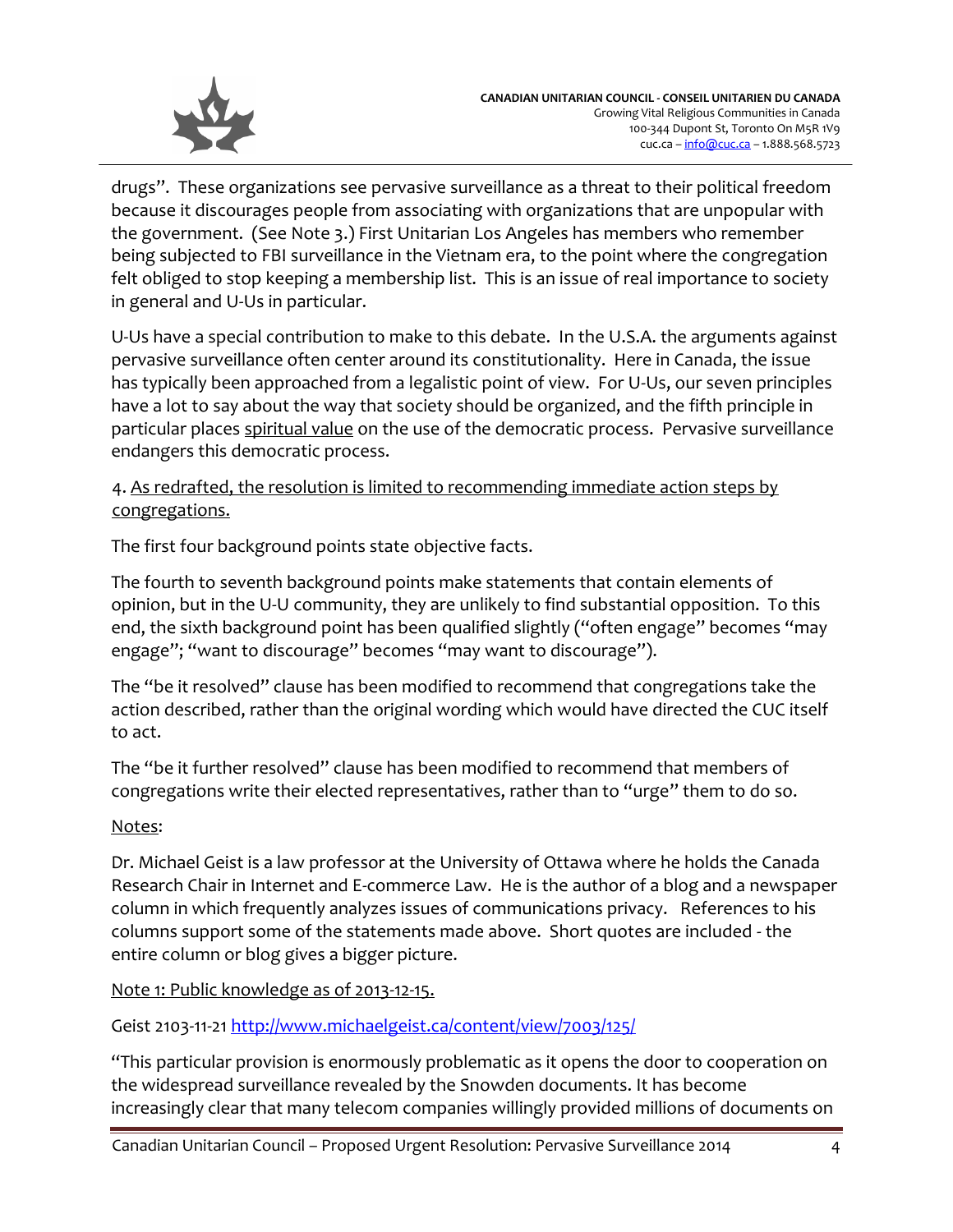

drugs". These organizations see pervasive surveillance as a threat to their political freedom because it discourages people from associating with organizations that are unpopular with the government. (See Note 3.) First Unitarian Los Angeles has members who remember being subjected to FBI surveillance in the Vietnam era, to the point where the congregation felt obliged to stop keeping a membership list. This is an issue of real importance to society in general and U-Us in particular.

U-Us have a special contribution to make to this debate. In the U.S.A. the arguments against pervasive surveillance often center around its constitutionality. Here in Canada, the issue has typically been approached from a legalistic point of view. For U-Us, our seven principles have a lot to say about the way that society should be organized, and the fifth principle in particular places spiritual value on the use of the democratic process. Pervasive surveillance endangers this democratic process.

## 4. As redrafted, the resolution is limited to recommending immediate action steps by congregations.

The first four background points state objective facts.

The fourth to seventh background points make statements that contain elements of opinion, but in the U-U community, they are unlikely to find substantial opposition. To this end, the sixth background point has been qualified slightly ("often engage" becomes "may engage"; "want to discourage" becomes "may want to discourage").

The "be it resolved" clause has been modified to recommend that congregations take the action described, rather than the original wording which would have directed the CUC itself to act.

The "be it further resolved" clause has been modified to recommend that members of congregations write their elected representatives, rather than to "urge" them to do so.

# Notes:

Dr. Michael Geist is a law professor at the University of Ottawa where he holds the Canada Research Chair in Internet and E-commerce Law. He is the author of a blog and a newspaper column in which frequently analyzes issues of communications privacy. References to his columns support some of the statements made above. Short quotes are included - the entire column or blog gives a bigger picture.

Note 1: Public knowledge as of 2013-12-15.

Geist 2103-11-21<http://www.michaelgeist.ca/content/view/7003/125/>

"This particular provision is enormously problematic as it opens the door to cooperation on the widespread surveillance revealed by the Snowden documents. It has become increasingly clear that many telecom companies willingly provided millions of documents on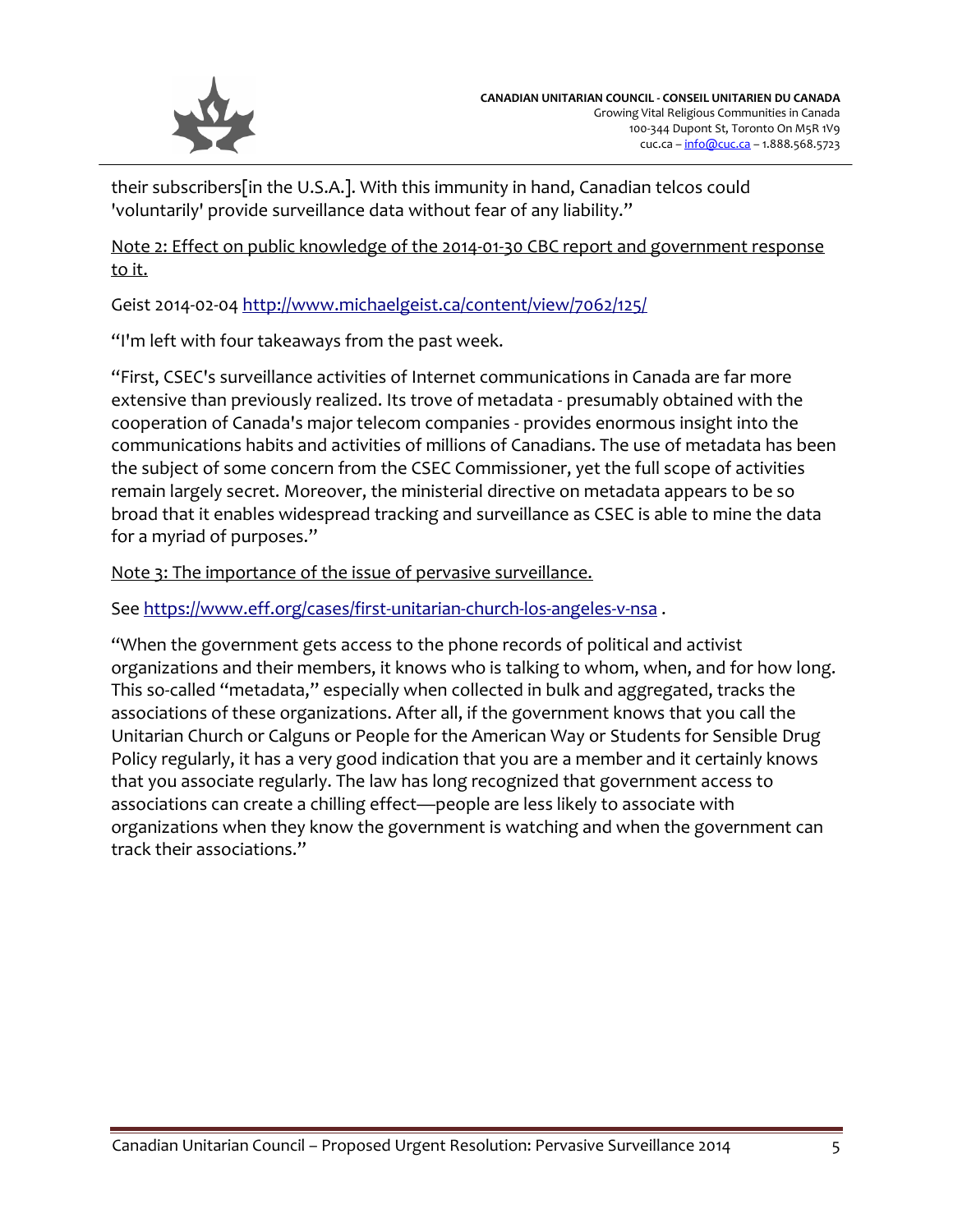

their subscribers[in the U.S.A.]. With this immunity in hand, Canadian telcos could 'voluntarily' provide surveillance data without fear of any liability."

Note 2: Effect on public knowledge of the 2014-01-30 CBC report and government response to it.

Geist 2014-02-04<http://www.michaelgeist.ca/content/view/7062/125/>

"I'm left with four takeaways from the past week.

"First, CSEC's surveillance activities of Internet communications in Canada are far more extensive than previously realized. Its trove of metadata - presumably obtained with the cooperation of Canada's major telecom companies - provides enormous insight into the communications habits and activities of millions of Canadians. The use of metadata has been the subject of some concern from the CSEC Commissioner, yet the full scope of activities remain largely secret. Moreover, the ministerial directive on metadata appears to be so broad that it enables widespread tracking and surveillance as CSEC is able to mine the data for a myriad of purposes."

Note 3: The importance of the issue of pervasive surveillance.

See<https://www.eff.org/cases/first-unitarian-church-los-angeles-v-nsa>.

"When the government gets access to the phone records of political and activist organizations and their members, it knows who is talking to whom, when, and for how long. This so-called "metadata," especially when collected in bulk and aggregated, tracks the associations of these organizations. After all, if the government knows that you call the Unitarian Church or Calguns or People for the American Way or Students for Sensible Drug Policy regularly, it has a very good indication that you are a member and it certainly knows that you associate regularly. The law has long recognized that government access to associations can create a chilling effect—people are less likely to associate with organizations when they know the government is watching and when the government can track their associations."